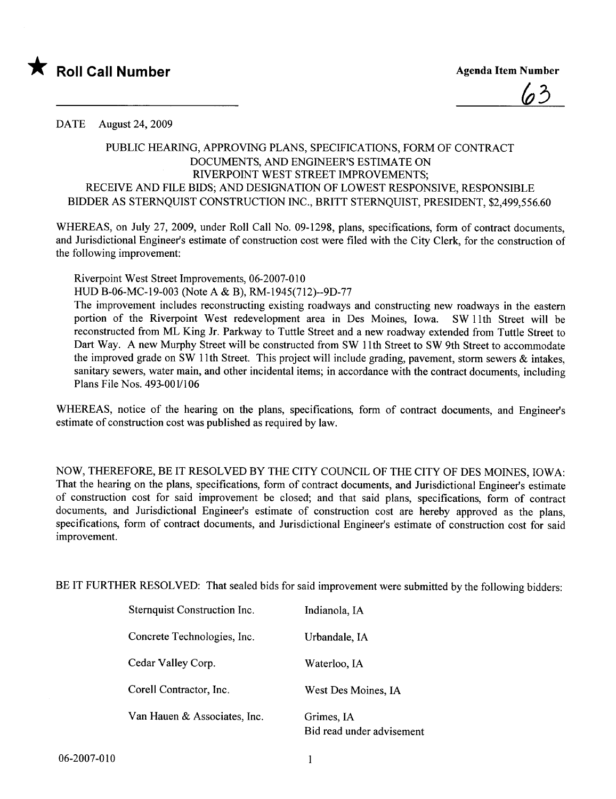

<u>(05</u>

DATE August 24, 2009

## PUBLIC HEARIG, APPROVING PLANS, SPECIFICATIONS, FORM OF CONTRACT DOCUMENTS, AND ENGINEER'S ESTIMATE ON RIVERPOINT WEST STREET IMPROVEMENTS; RECEIVE AND FILE BIDS; AND DESIGNATION OF LOWEST RESPONSIVE, RESPONSIBLE BIDDER AS STERNQUIST CONSTRUCTION INC., BRITT STERNQUIST, PRESIDENT, \$2,499,556.60

WHEREAS, on July 27, 2009, under Roll Call No. 09-1298, plans, specifications, form of contract documents, and Jurisdictional Engineer's estimate of construction cost were fied with the City Clerk, for the construction of the following improvement:

Riverpoint West Street Improvements, 06-2007-010 HUD B-06-MC-19-003 (Note A & B), RM-1945(712)--9D-77

The improvement includes reconstructing existing roadways and constructing new roadways in the eastern portion of the Riverpoint West redevelopment area in Des Moines, Iowa. SW 11th Street wil be reconstructed from ML King Jr. Parkway to Tuttle Street and a new roadway extended from Tuttle Street to Dart Way. A new Murphy Street will be constructed from SW 11th Street to SW 9th Street to accommodate the improved grade on SW 11th Street. This project will include grading, pavement, storm sewers  $\&$  intakes, sanitary sewers, water main, and other incidental items; in accordance with the contract documents, including Plans File Nos. 493-0011106

WHREAS, notice of the hearing on the plans, specifications, form of contract documents, and Engineer's estimate of construction cost was published as required by law.

NOW, THEREFORE, BE IT RESOLVED BY THE CITY COUNCIL OF THE CITY OF DES MOINES, IOWA: That the hearing on the plans, specifications, form of contract documents, and Jurisdictional Engineer's estimate of construction cost for said improvement be closed; and that said plans, specifications, form of contract documents, and Jurisdictional Engineer's estimate of construction cost are hereby approved as the plans, specifications, form of contract documents, and Jurisdictional Engineer's estimate of construction cost for said improvement.

BE IT FURTHER RESOLVED: That sealed bids for said improvement were submitted by the following bidders:

| Sternquist Construction Inc. | Indianola, IA                           |
|------------------------------|-----------------------------------------|
| Concrete Technologies, Inc.  | Urbandale, IA                           |
| Cedar Valley Corp.           | Waterloo, IA                            |
| Corell Contractor, Inc.      | West Des Moines, IA                     |
| Van Hauen & Associates, Inc. | Grimes, IA<br>Bid read under advisement |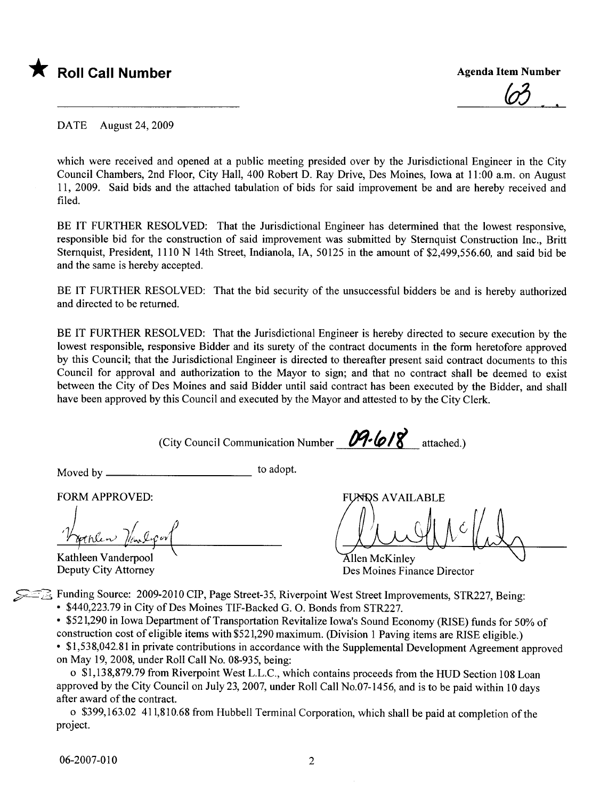

<u>(o3 - .</u>

DATE August 24, 2009

which were received and opened at a public meeting presided over by the Jurisdictional Engineer in the City Council Chambers, 2nd Floor, City Hall, 400 Robert D. Ray Drive, Des Moines, Iowa at 11:00 a.m. on August 11, 2009. Said bids and the attached tabulation of bids for said improvement be and are hereby received and fied.

BE IT FURTHER RESOLVED: That the Jurisdictional Engineer has determined that the lowest responsive, responsible bid for the construction of said improvement was submitted by Sternquist Construction Inc., Britt Sternquist, President, 1110 N 14th Street, Indianola, lA, 50125 in the amount of \$2,499,556.60, and said bid be and the same is hereby accepted.

BE IT FURTHER RESOLVED: That the bid security of the unsuccessful bidders be and is hereby authorized and directed to be returned.

BE IT FURTHER RESOLVED: That the Jurisdictional Engineer is hereby directed to secure execution by the lowest responsible, responsive Bidder and its surety of the contract documents in the form heretofore approved by this Council; that the Jurisdictional Engineer is directed to thereafter present said contract documents to this Council for approval and authorization to the Mayor to sign; and that no contract shall be deemed to exist between the City of Des Moines and said Bidder until said contract has been executed by the Bidder, and shall have been approved by this Council and executed by the Mayor and attested to by the City Clerk.

(City Council Communication Number  $\mathcal{P}\text{-} \mathcal{P}$  attached.)

Moved by to adopt.

FORM APPROVED:

Varplen Van Cool pines part  $r$ 

Kathleen Vanderpool Deputy City Attorney

**FUNDS AVAILABLE** 

Allen McKinlev Des Moines Finance Director

**Example 3** Funding Source: 2009-2010 CIP, Page Street-35, Riverpoint West Street Improvements, STR227, Being:

· \$440,223.79 in City of Des Moines TIF-Backed G. O. Bonds from STR227.

· \$521,290 in Iowa Department of Transportation Revitalize Iowa's Sound Economy (RISE) funds for 50% of construction cost of eligible items with \$521,290 maximum. (Division 1 Paving items are RISE eligible.)

· \$1,538,042.81 in private contributions in accordance with the Supplemental Development Agreement approved on May 19,2008, under Roll Call No. 08-935, being:

o \$1,138,879.79 from Riverpoint West L.L.C., which contains proceeds from the HUD Section 108 Loan approved by the City Council on July 23, 2007, under Roll Call No.07-1456, and is to be paid within 10 days after award of the contract.

o \$399,163.02 411,810.68 from Hubbell Terminal Corporation, which shall be paid at completion of the project.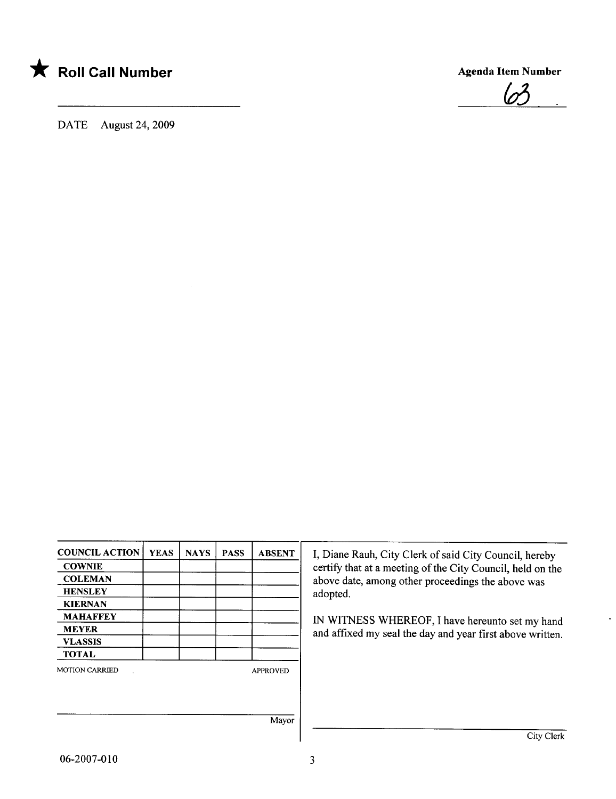

Agenda Item Number



DATE August 24, 2009

| <b>COUNCIL ACTION</b> | <b>YEAS</b> | <b>NAYS</b> | <b>PASS</b> | <b>ABSENT</b>   |
|-----------------------|-------------|-------------|-------------|-----------------|
| <b>COWNIE</b>         |             |             |             |                 |
| <b>COLEMAN</b>        |             |             |             |                 |
| <b>HENSLEY</b>        |             |             |             |                 |
| <b>KIERNAN</b>        |             |             |             |                 |
| <b>MAHAFFEY</b>       |             |             |             |                 |
| <b>MEYER</b>          |             |             |             |                 |
| <b>VLASSIS</b>        |             |             |             |                 |
| <b>TOTAL</b>          |             |             |             |                 |
| <b>MOTION CARRIED</b> |             |             |             | <b>APPROVED</b> |
|                       |             |             |             |                 |
|                       |             |             |             | Mayor           |

I, Diane Rauh, City Clerk of said City Council, hereby certify that at a meeting of the City Council, held on the above date, among other proceedings the above was adopted.

IN WITNESS WHEREOF, I have hereunto set my hand and affixed my seal the day and year first above written.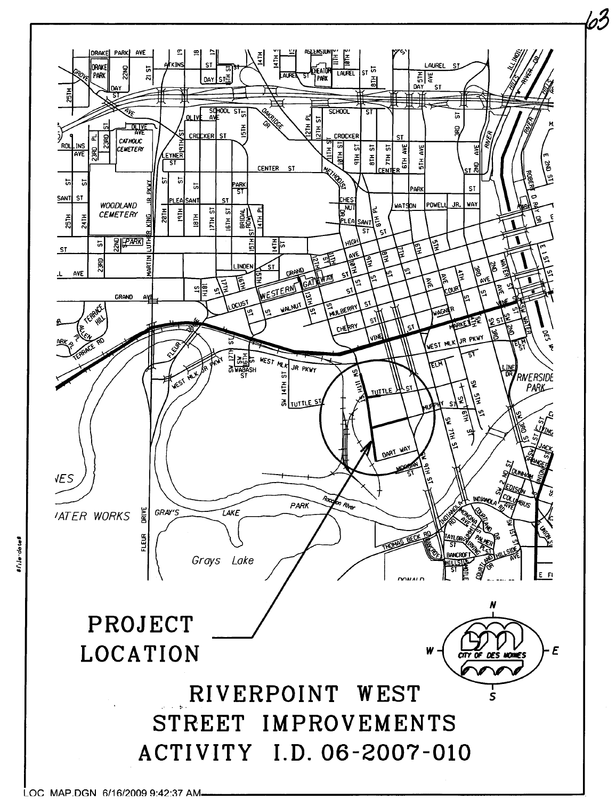

63

file-dote

LOC MAP.DGN 6/16/2009 9:42:37 AM.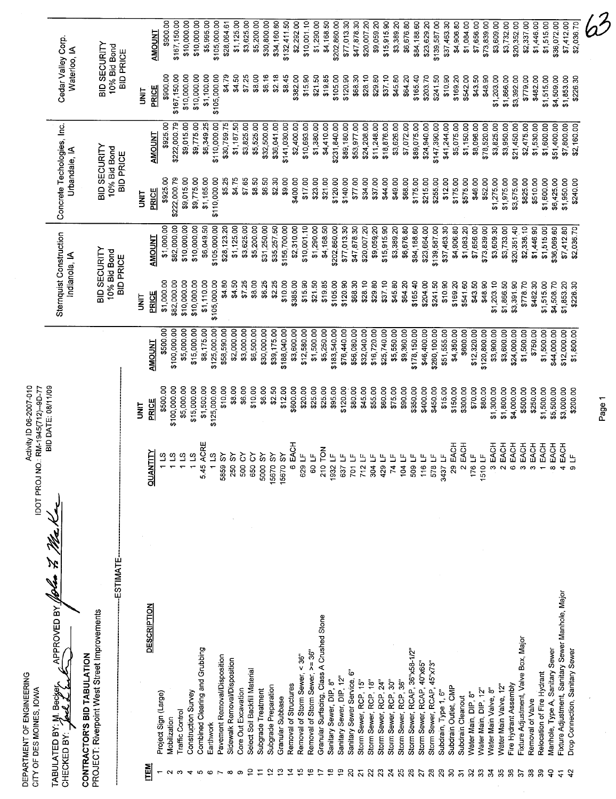|                                               | DEPARTMENT OF ENGINEERING<br>CITY OF DES MOINES, IOWA                       | <b>IDOT PROJ</b> |                                                                 | Activity ID 06-2007-010<br>NO: RM-1945(712)-9D-77 |                             |                                          |                             |                                             |                            |                                    |                            |
|-----------------------------------------------|-----------------------------------------------------------------------------|------------------|-----------------------------------------------------------------|---------------------------------------------------|-----------------------------|------------------------------------------|-----------------------------|---------------------------------------------|----------------------------|------------------------------------|----------------------------|
|                                               | APPROVED BY<br>Second Mixe darkhavi<br>CHECKED BY                           | lfolm 7,         |                                                                 | BID DATE: 08/11/09                                |                             | Sternquist Construction<br>Indianola, IA |                             | Concrete Techologies, Inc.<br>Urbandale, IA |                            | Cedar Valley Corp.<br>Waterloo, IA |                            |
|                                               | PROJECT: Riverpoint West Street Improvements<br>CONTRACTOR'S BID TABULATION |                  |                                                                 |                                                   |                             | BID SECURITY                             |                             | BID SECURITY                                |                            | BID SECURITY                       |                            |
|                                               |                                                                             | <b>ESTIMATE</b>  |                                                                 |                                                   |                             | 10% Bid Bond<br><b>BID PRICE</b>         |                             | 10% Bid Bond<br><b>BID PRICE</b>            |                            | 10% Bid Bond<br><b>BID PRICE</b>   |                            |
|                                               |                                                                             |                  |                                                                 | <b>TINL</b>                                       |                             | i<br>3                                   |                             | <b>SE</b>                                   |                            | İ                                  |                            |
| <b>ITEM</b>                                   | <b>DESCRIPTION</b>                                                          |                  | <b>QUANTITY</b>                                                 | <b>PRICE</b>                                      | <b>AMOUNT</b>               | <b>PRICE</b>                             | AMOUNT                      | PRICE                                       | <b>AMOUNT</b>              | <b>PRICE</b>                       | AMOUNT                     |
|                                               | Project Sign (Large)                                                        |                  | 11S                                                             | \$500.00                                          | \$500.00                    | \$1,000.00                               | \$1,000.00                  | \$925.00                                    | \$925.00                   | \$900.00                           | \$900.00                   |
|                                               | Mobilization                                                                |                  | 11S                                                             | \$100,000.00                                      | \$100,000.00                | \$82,000.00                              | \$82,000.00                 | \$222,000.79                                | \$222,000.79               | \$167,150.00                       | \$167,150.00               |
|                                               | Construction Survey<br>Traffic Control                                      |                  | 271<br>1 LS                                                     | \$5,000.00                                        | \$5,000.00                  | \$10,000.00                              | \$10,000.00                 | \$9,015.00                                  | \$9,015.00                 | \$10,000.00                        | \$10,000.00                |
|                                               | Combined Clearing and Grubbing                                              |                  | 5.45 ACRE                                                       | \$15,000.00<br>\$1,500.00                         | \$15,000.00<br>\$8,175.00   | \$10,000.00<br>\$1,110.00                | \$6,049.50<br>\$10,000.00   | \$9,775.00                                  | \$9,775.00                 | \$10,000.00                        | \$10,000.00                |
|                                               | Earthwork                                                                   |                  | 11S                                                             | \$125,000.00                                      | \$125,000.00                | \$105,000.00                             | \$105,000.00                | \$1,165.00<br>\$110,000.00                  | \$6,349.25<br>\$110,000.00 | \$1,100.00<br>\$105,000.00         | \$5,995.00<br>\$105,000.00 |
|                                               | Pavement Removal/Disposition                                                |                  | ŠΥ<br>5859                                                      | \$10.00                                           | \$58,590.00                 | \$4.80                                   | \$28,123.20                 | \$5.25                                      | \$30,759.75                | \$4.79                             | \$28,064.61                |
|                                               | Sidewalk Removal/Disposition                                                |                  | $\mathcal{S}$<br>250                                            | \$8.00                                            | \$2,000.00                  | \$4.50                                   | \$1,125.00                  | \$4.75                                      | \$1,187.50                 | \$4.50                             | \$1,125.00                 |
|                                               | Select Soil Backfill Material<br>Core Out Excavation                        |                  | 500 CY<br>650 CY                                                | \$6.00                                            | \$3,000.00                  | \$7.25                                   | \$3,625.00                  | \$7.65                                      | \$3,825.00                 | \$7.25                             | \$3,625.00                 |
|                                               | Subgrade Treatment                                                          |                  | <b>AS 0005</b>                                                  | \$10.00<br>\$6.00                                 | \$6,500.00                  | \$8.00                                   | \$5,200.00                  | \$8.50                                      | \$5,525.00                 | \$8.00                             | \$5,200.00                 |
|                                               | Subgrade Preparation                                                        |                  | <b>15670 SY</b>                                                 | \$2.50                                            | \$30,000.00<br>\$39,175.00  | \$6.25<br>\$2.25                         | \$31,250.00<br>\$35,257.50  | \$6.50<br>\$2.30                            | \$32,500.00<br>\$36,041.00 | \$6.16<br>\$2.18                   | \$30,800.00<br>\$34,160.60 |
| ∞                                             | Granular Subbase                                                            |                  | 15670 SY                                                        | \$12.00                                           | \$188,040.00                | \$10.00                                  | \$156,700.00                | \$9.00                                      | \$141,030.00               | \$8.45                             | \$132,411.50               |
| ⊻                                             | Removal of Structures                                                       |                  | 6 EACH                                                          | \$600.00                                          | \$3,600.00                  | \$385.00                                 | \$2,310.00                  | \$400.00                                    | \$2,400.00                 | \$382.00                           | \$2,292.00                 |
| ؽ<br>$\overline{6}$                           | Removal of Storm Sewer, < 36"                                               |                  | 629 LF                                                          | \$20.00                                           | \$12,580.00                 | \$15.90                                  | \$10,001.10                 | \$1700                                      | \$10,693.00                | \$15.90                            | \$10,001.10                |
|                                               | Granular Surfacing, Class A Crushed Stone<br>Removal of Storm Sewer, >= 36" |                  | 50LF                                                            | \$25.00                                           | \$1,500.00                  | \$21.50                                  | \$1,290.00                  | \$23.00                                     | \$1,380.00                 | \$21.50                            | \$1,290.00                 |
| ₽                                             | Sanitary Sewer, DIP, 8"                                                     |                  | 210 TON<br>1932 LF                                              | \$25.00                                           | \$5,250.00                  | \$19.85                                  | \$4,168.50                  | \$21.00                                     | \$4,410.00                 | \$19.85                            | \$4,168.50                 |
| ഉ                                             | Sanitary Sewer, DIP, 12"                                                    |                  | 637 LF                                                          | \$95.00<br>\$120.00                               | \$183,540.00<br>\$76,440.00 | \$105.00<br>\$120.90                     | \$202,860.00<br>\$77,013.30 | \$120.00<br>\$140.00                        | \$231,840.00               | \$105.00                           | \$202,860.00               |
| ຂ                                             | قة<br>Sanitary Sewer Service,                                               |                  | $\begin{array}{c} 701 \text{ LF} \\ 712 \text{ LF} \end{array}$ | \$80.00                                           | \$56,080.00                 | \$68.30                                  | \$47,878.30                 | \$7700                                      | \$89,180.00<br>\$53,977.00 | \$120.90<br>\$68.30                | \$77,013.30<br>\$47,878.30 |
| 2                                             | Storm Sewer, RCP, 15"                                                       |                  |                                                                 | \$45.00                                           | \$32,040.00                 | \$28.10                                  | \$20,007.20                 | \$34.00                                     | \$24,208.00                | \$28.10                            | \$20,007.20                |
|                                               | Storm Sewer, RCP, 18"                                                       |                  | $\mathbb{L}$<br>304                                             | \$55.00                                           | \$16,720.00                 | \$29.80                                  | \$9,059.20                  | \$37.00                                     | \$11,248.00                | \$29.80                            | \$9,059.20                 |
| $\boldsymbol{\mathcal{Z}}$<br>$\overline{24}$ | Storm Sewer, RCP, 30"<br>Storm Sewer, RCP, 24"                              |                  | 429 LF                                                          | \$60.00                                           | \$25,740.00                 | \$37.10                                  | \$15,915.90                 | \$44.00                                     | \$18,876.00                | \$37.10                            | \$15,915.90                |
| 25                                            | Storm Sewer, RCP, 36"                                                       |                  | 104 LF<br>$\mathbf{\underline{\mathsf{u}}}$<br>$\mathbf{z}$     | \$75.00<br>\$90.00                                | \$5,550.00                  | \$45.80                                  | \$3,389.20                  | \$49.00                                     | \$3,626.00                 | \$45.80                            | \$3,389.20                 |
| $\boldsymbol{26}$                             | Storm Sewer, RCAP, 36"x58-1/2"                                              |                  | 509 LF                                                          | \$350.00                                          | \$9,360.00<br>\$178,150.00  | \$64.20<br>\$165.40                      | \$6,676.80<br>\$84,188.60   | \$68.00<br>\$175.00                         | \$7,072.00<br>\$89,075.00  | \$64.20<br>\$165.40                | \$6,57680<br>\$84,188.60   |
| 27                                            | Storm Sewer, RCAP, 40"x65"                                                  |                  | 16 LF                                                           | \$400.00                                          | \$46,400.00                 | \$204.00                                 | \$23,664.00                 | \$215.00                                    | \$24,940.00                | \$203.70                           | \$23,629.20                |
| 29<br>$\mathbf{g}$                            | Storm Sewer, RCAP, 45"x73"                                                  |                  | 578 LF                                                          | \$450.00                                          | \$260,100.00                | \$241.50                                 | \$139,587.00                | \$255.00                                    | \$147,390.00               | \$241.50                           | \$139,587.00               |
| g                                             | Subdrain Outlet, CMP<br>Subdrain, Type 1, 6"                                |                  | 3437 LF                                                         | \$15.00                                           | \$51,555.00                 | \$10.90                                  | \$37,463.30                 | \$12.00                                     | \$41,244.00                | \$10.90                            | \$37,463.30                |
| 5                                             | Subdrain Cleanout                                                           |                  | EACH<br>2 EACH<br>29                                            | \$150.00<br>\$300.00                              | \$4,350.00<br>\$600.00      | \$169.20                                 | \$4,906.80                  | \$175.00                                    | \$5,075.00                 | \$169.20                           | \$4,906.80                 |
| $\mathfrak{L}$                                | Water Main, DIP, 8"                                                         |                  | 176 LF                                                          | \$70.00                                           | \$12,320.00                 | \$541.60<br>\$43.50                      | \$1,083.20<br>\$7,656.00    | \$575.00<br>\$46.00                         | \$1,150.00<br>\$8,096.00   | \$43.50<br>\$542.00                | \$1,084.00<br>\$7,656.00   |
| 33                                            | Water Main, DIP, 12"                                                        |                  | 1510 LF                                                         | \$80.00                                           | \$120,800.00                | \$48.90                                  | \$73,839.00                 | \$52.00                                     | \$78,520.00                | \$48.90                            | \$73,839.00                |
| $\mathfrak{L}$                                | Water Main Valve, 8"                                                        |                  | 3 EACH                                                          | \$1,300.00                                        | \$3,900.00                  | \$1,203.10                               | \$3,609.30                  | \$1,275.00                                  | \$3,825.00                 | \$1,203.00                         | \$3,609.00                 |
| 35<br>39                                      | Water Main Valve, 12"                                                       |                  | EACH<br>$\sim$                                                  | \$1,800.00                                        | \$3,600.00                  | \$1,866.50                               | \$3,733.00                  | \$1,975.00                                  | \$3,950.00                 | \$1,866.00                         | \$3,732.00                 |
| $\overline{37}$                               | Fixture Adjustment, Valve Box, Major<br>Fire Hydrant Assembly               |                  | EACH<br>6                                                       | \$4,000.00                                        | \$24,000.00                 | \$3,391.90                               | \$20,351.40                 | \$3,575.00                                  | \$21,450.00                | \$3,392.00                         | \$20,352.00                |
| 33                                            | Removal of Valve                                                            |                  | EACH<br>EACH<br>co<br>ო                                         | \$500.00<br>\$250.00                              | \$1,500.00                  | \$778.70                                 | \$2,336.10                  | \$825.00                                    | \$2,475.00                 | \$779.00                           | \$2,337.00                 |
| వి                                            | Relocation of Fire Hydrant                                                  |                  | EACH                                                            | \$1,500.00                                        | \$1,500.00<br>\$750.00      | \$482.30<br>\$1,515.00                   | \$1,446.90<br>\$1,515.00    | \$510.00<br>\$1,600.00                      | \$1,530.00<br>\$1,600.00   | \$482.00                           | \$1,446.00                 |
| ទ                                             | Manhole, Type A, Sanitary Sewer                                             |                  | EACH                                                            | \$5,500.00                                        | \$44,000.00                 | \$4,508.70                               | \$36,069.60                 | \$6,425.00                                  | \$51,400.00                | \$1,515.00<br>\$4,509.00           | \$1,515.00<br>\$36,072.00  |
|                                               | Fixture Adjustment, Sanitary Sewer Manhole, Major                           |                  | EACH                                                            | \$3,000.00                                        | \$12,000.00                 | \$1,853.20                               | \$7,412.80                  | \$1,950.00                                  | \$7,800.00                 | \$1,853.00                         | \$7,412.00                 |
|                                               | Drop Connection, Sanitary Sewer                                             |                  | Е                                                               | \$200.00                                          | \$1,800.00                  | \$226.30                                 | \$2,03670                   | \$240.00                                    | \$2,160.00                 | \$226.30                           | \$2,036.70                 |
|                                               |                                                                             |                  |                                                                 |                                                   |                             |                                          |                             |                                             |                            |                                    |                            |

Page 1

 $\ddot{\phantom{0}}$ 

 $\omega^2$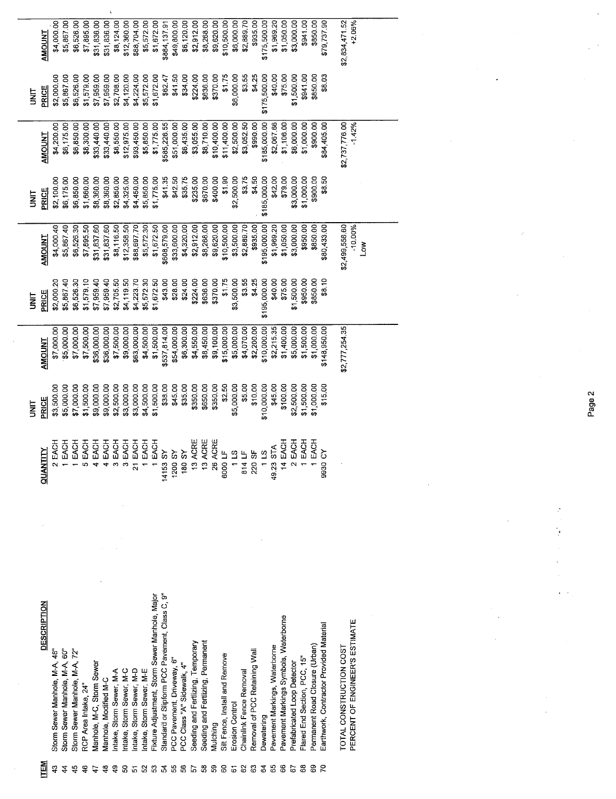|        | <b>AMOUNT</b>      | \$4,000.00                    | \$5,867.00                    | \$6,526.00                    | \$7,895.00           | \$31,836.00                | \$31,836.00           | \$8,124.00              | \$12,360.00             | \$88,704.00             | \$5,572.00              | \$1,672.00                                     | \$884,137.91                                   | \$49,800.00                | \$6,120.00                        | \$2,912.00                        | \$8,268.00                        | \$9,620.00  | \$10,500.00                    | \$6,000.00               | \$2,889.70              | \$935.00                      | \$175,500.00   | \$1,969.20                    | \$1,050.00                            | \$3,000.00                  | \$941.00                    | \$850.00                       | \$79,737.90                             | \$2,834,471.52          | $+2.06%$                       |   |  |
|--------|--------------------|-------------------------------|-------------------------------|-------------------------------|----------------------|----------------------------|-----------------------|-------------------------|-------------------------|-------------------------|-------------------------|------------------------------------------------|------------------------------------------------|----------------------------|-----------------------------------|-----------------------------------|-----------------------------------|-------------|--------------------------------|--------------------------|-------------------------|-------------------------------|----------------|-------------------------------|---------------------------------------|-----------------------------|-----------------------------|--------------------------------|-----------------------------------------|-------------------------|--------------------------------|---|--|
| lig    | PRICE              | \$2,000.00                    | \$5,867.00                    | \$6,526.00                    | \$1,579.00           | \$7,959.00                 | \$7,959.00            | \$2,708.00              | \$4,120.00              | \$4,224.00              | \$5,572.00              | \$1,672.00                                     | \$62.47                                        | \$41.50                    | \$34.00                           | \$224.00                          | \$636.00                          | \$370.00    | \$1.75                         | \$6,000.00               | \$3.55                  | \$4.25                        | \$175,500.00   | \$40.00                       | \$75.00                               | \$1,500.00                  | \$941.00                    | \$850.00                       | \$8.03                                  |                         |                                |   |  |
|        | <b>TNUONNT</b>     | \$4,200.00                    | \$6,175.00                    | \$6,850.00                    | \$8,300.00           | \$33,440.00                | \$33,440.00           | \$8,550.00              | \$12,975.00             | \$93,450.00             | \$5,850.00              | \$1,775.00                                     | \$585,226.55                                   | \$51,000.00                | \$6,435.00                        | \$3,055.00                        | \$8,710.00                        | \$10,400.00 | \$11,400.00                    | \$2,500.00               | \$3,052.50              | \$990.00                      | \$185,000.00   | \$2,067.66                    | \$1,106.00                            | \$6,000.00                  | \$1,000.00                  | \$900.00                       | \$84,405.00                             | \$2,737,776.00          | $-1.42%$                       |   |  |
| i<br>3 | PRICE              | \$2,100.00                    | \$6,175.00                    | \$6,850.00                    | \$1,660.00           | \$8,360.00                 | \$8,360.00            | \$2,850.00              | \$4,325.00              | \$4,450.00              | \$5,850.00              | \$1,775.00                                     | \$41.35                                        | \$42.50                    | \$35.75                           | \$235.00                          | \$670.00                          | \$400.00    | \$1.90                         | \$2,500.00               | \$3.75                  | \$4.50                        | \$185,000.00   | \$42.00                       | \$79.00                               | \$3,000.00                  | \$1,000.00                  | \$900.00                       | \$8.50                                  |                         |                                |   |  |
|        | <b>AMOUNT</b>      | \$4,000.40                    | \$5,867.40                    | \$6,526.30                    | \$7,895.50           | \$31,837.60                | \$31,837.60           | \$8,116.50              | \$12,358.50             | \$88,697.70             | \$5,572.30              | \$1,672.50                                     | \$608,579.00                                   | \$33,600.00                | \$4,320.00                        | \$2,912.00                        | \$8,268.00                        | \$9,620.00  | \$10,500.00                    | \$3,500.00               | \$2,889.70              | \$935.00                      | \$195,000.00   | \$1,969.20                    | \$1,050.00                            | \$3,000.00                  | \$950.00                    | \$850.00                       | \$80,433.00                             | \$2,499,556.60          | $-10.00%$                      | Š |  |
| m<br>E | PRICE              | \$2,000.20                    | \$5,867.40                    | \$6,526.30                    | \$1,579.10           | \$7,959.40                 | \$7,959.40            | \$2,705.50              | \$4,119.50              | \$4,223.70              | \$5,572.30              | \$1,672.50                                     | \$43.00                                        | \$28.00                    | \$24.00                           | \$224.00                          | \$636.00                          | \$370.00    | \$1.75                         | \$3,500.00               | \$3.55                  | \$4.25                        | \$195,000.00   | \$40.00                       | \$75.00                               | \$1,500.00                  | \$950.00                    | \$850.00                       | \$8.10                                  |                         |                                |   |  |
|        | <b>AMOUNT</b>      | \$7,000.00                    | \$5,000.00                    | \$7,000.00                    | \$7,500.00           | \$36,000.00                | \$36,000.00           | \$7,500.00              | \$9,000.00              | \$63,000.00             | \$4,500.00              | \$1,500.00                                     | \$537,814.00                                   | \$54,000.00                | \$6,300.00                        | \$4,550.00                        | \$8,450.00                        | \$9,100.00  | \$15,000.00                    | \$5,000.00               | \$4,070.00              | \$2,200.00                    | \$10,000.00    | \$2,215.35                    | \$1,400.00                            | \$5,000.00                  | \$1,500.00                  | \$1,000.00                     | \$148,950.00                            | \$2,777,254.35          |                                |   |  |
| i<br>S | PRICE              | \$3,500.00                    | \$5,000.00                    | \$7,000.00                    | \$1,500.00           | \$9,000.00                 | \$9,000.00            | \$2,500.00              | \$3,000.00              | \$3,000.00              | \$4,500.00              | \$1500.00                                      | \$38.00                                        | \$45.00                    | \$35.00                           | \$350.00                          | \$650.00                          | \$350.00    | \$2.50                         | \$5,000.00               | \$5.00                  | \$10.00                       | \$10,000.00    | \$45.00                       | \$100.00                              | \$2,500.00                  | \$1,500.00                  | \$1,000.00                     | \$15.00                                 |                         |                                |   |  |
|        | <b>QUANTITY</b>    | ea<br>Eac                     | ea<br>Eve                     | EACH                          | EACH                 | EACH                       | EACH                  | 동<br>없                  | EACH                    | EACH<br>à               | EACH                    | EACH                                           | $\delta$<br>14153                              | $\delta$<br>1200           | $\mathcal{S}^{\mathsf{c}}$<br>180 | ACRE<br>$\frac{1}{2}$             | ACRE<br>$\ddot{c}$                | 26          | ACRE<br>J LF<br>6000           | 1 LS<br>814 LF<br>220 SF |                         |                               | $\overline{c}$ | STA<br>49.23                  | EACH<br>$\frac{4}{3}$                 | EACH                        | EACH                        | EACH                           | δ<br>9930                               |                         |                                |   |  |
|        |                    |                               |                               |                               |                      |                            |                       |                         |                         |                         |                         |                                                |                                                |                            |                                   |                                   |                                   |             |                                |                          |                         |                               |                |                               |                                       |                             |                             |                                |                                         |                         |                                |   |  |
|        | <b>DESCRIPTION</b> | Storm Sewer Manhole, M-A, 48" | Storm Sewer Manhole, M-A, 60" | Storm Sewer Manhole, M-A, 72" | RCP Area Intake, 24' | Vlanhole, M-C, Storm Sewer | Manhole, Modified M-C | ntake, Storm Sewer, M-A | ntake, Storm Sewer, M-C | ntake, Storm Sewer, M-D | ntake, Storm Sewer, M-E | Fixture Adjustment, Storm Sewer Manhole, Major | Standard or Slipform PCC Pavement, Class C, 9" | PCC Pavement, Driveway, 6" | PCC Class "A" Sidewalk, 4"        | Seeding and Fertlizing, Temporary | Seeding and Fertlizing, Permanent |             | Silt Fence, Install and Remove |                          | Chainlink Fence Removal | Removal of PCC Retaining Wall |                | Pavement Markings, Waterborne | Pavement Markings Symbols, Waterborne | Prefabricated Loop Detector | Tared End Section, PCC, 15" | Permanent Road Closure (Urban) | Earthwork, Contractor Provided Material | TOTAL CONSTRUCTION COST | PERCENT OF ENGINEER'S ESTIMATE |   |  |
|        |                    |                               |                               |                               |                      |                            |                       |                         |                         |                         |                         |                                                |                                                |                            |                                   |                                   |                                   | Vluiching   |                                | Erosion Control          |                         |                               | Jewatering     |                               |                                       |                             |                             |                                |                                         |                         |                                |   |  |
|        | TEM                | 43                            | $\frac{4}{3}$                 | មុ                            | \$                   |                            | \$                    | ą                       | ន                       | 5                       | S                       | S.                                             | 24                                             | 55                         | 66                                | 57                                | 38                                | 8           | $\mathbf{S}$                   | 6                        | 62                      | 63                            | $\mathfrak{g}$ | 85                            | සි                                    | 67                          | 88                          | සි                             | 2                                       |                         |                                |   |  |

Page 2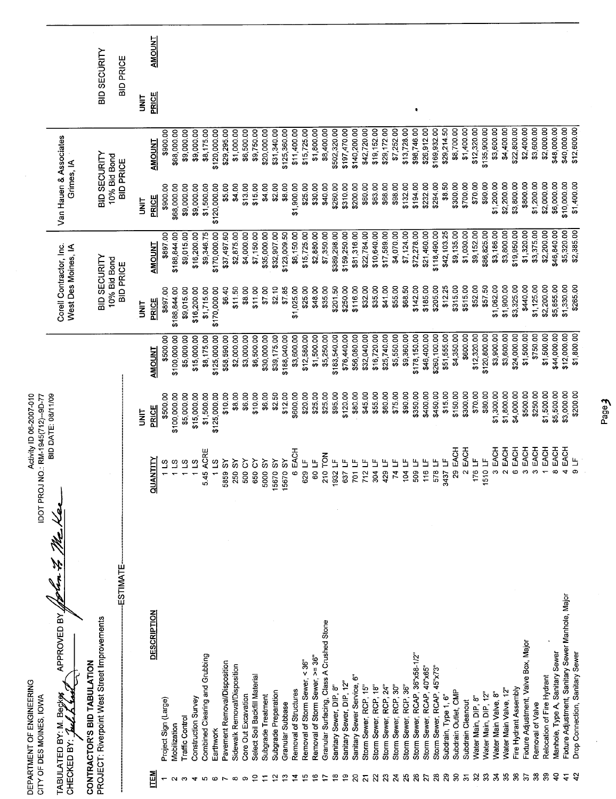|                                            | DEPARTMENT OF ENGINEERING<br>CITY OF DES MOINES, IOWA                       | <b>IDOT PROJ</b>                                  | Activity ID 06-2007-010<br>NO: RM-1945(712)--9D-77 |                             |                                                |                             |                                      |                             |                     |               |
|--------------------------------------------|-----------------------------------------------------------------------------|---------------------------------------------------|----------------------------------------------------|-----------------------------|------------------------------------------------|-----------------------------|--------------------------------------|-----------------------------|---------------------|---------------|
|                                            | APPROVED BY<br>Веç∤ <del>р</del><br>TABULATED BY: M.<br>CHECKED BY: 1       |                                                   | BID DATE: 08/11/09                                 |                             | Corell Contractor, Inc.<br>West Des Moines, IA |                             | Van Hauen & Associates<br>Grimes, IA |                             |                     |               |
|                                            | PROJECT: Riverpoint West Street Improvements<br>CONTRACTOR'S BID TABULATION |                                                   |                                                    |                             | BID SECURITY                                   |                             | BID SECURITY                         |                             | <b>BID SECURITY</b> |               |
|                                            | ESTIMATE                                                                    |                                                   |                                                    |                             | 10% Bid Bond<br><b>BID PRICE</b>               |                             | 10% Bid Bond<br><b>BID PRICE</b>     |                             | BID PRICE           |               |
|                                            |                                                                             |                                                   | <b>SINT</b>                                        |                             | i<br>M                                         |                             | i<br>Mi                              |                             | i<br>M              |               |
| <b>ITEM</b>                                | <b>DESCRIPTION</b>                                                          | <b>ZILNAUD</b>                                    | PRICE                                              | <b>AMOUNT</b>               | PRICE                                          | <b>AMOUNT</b>               | PRICE                                | <b>AMOUNT</b>               | PRICE               | <b>AMOUNT</b> |
|                                            | Project Sign (Large)                                                        | 113                                               | \$500.00                                           | \$500.00                    | \$897.00                                       | \$897.00                    | \$900.00                             | \$900.00                    |                     |               |
|                                            | Traffic Control<br>Mobilization                                             | $\begin{array}{c}\n 25 \\ -7 \\ -7\n \end{array}$ | \$100,000.00<br>\$5,000.00                         | \$100,000.00<br>\$5,000.00  | \$188,844.00<br>\$9,015.00                     | \$9,015.00<br>\$188,844.00  | \$9,000.00<br>\$68,000.00            | \$68,000.00<br>\$9,000.00   |                     |               |
|                                            | Construction Survey                                                         |                                                   | \$15,000.00                                        | \$15,000.00                 | \$16,200.00                                    | \$16,200.00                 | \$9,000.00                           | \$9,000.00                  |                     |               |
|                                            | Combined Clearing and Grubbing                                              | 545 ACRE                                          | \$1,500.00                                         | \$8,175.00                  | \$1,715.00                                     | \$9,346.75                  | \$1,500.00                           | \$8,175.00                  |                     |               |
|                                            | Earthwork                                                                   | 11.5                                              | \$125,000.00                                       | \$125,000.00                | \$170,000.00                                   | \$170,000.00                | \$120,000.00                         | \$120,000.00                |                     |               |
|                                            | Pavement Removal/Disposition<br>Sidewalk Removal/Disposition                | 250 SY<br>5859 SY                                 | \$8.00<br>\$10.00                                  | \$58,590.00<br>\$2,000.00   | \$11.50<br>\$6.40                              | \$37,497.60<br>\$2,875.00   | \$4.00<br>\$5.00                     | \$29,295.00<br>\$1,000.00   |                     |               |
|                                            | Core Out Excavation                                                         | 500 CY                                            | \$6.00                                             | \$3,000.00                  | \$8.00                                         | \$4,000.00                  | \$13.00                              | \$6,500.00                  |                     |               |
| ∘                                          | Select Soil Backfill Material                                               | 650 CY                                            | \$10.00                                            | \$6,500.00                  | \$11.00                                        | \$7,150.00                  | \$15.00                              | \$9,750.00                  |                     |               |
|                                            | Subgrade Treatment                                                          | 5000 SY                                           | \$6.00                                             | \$30,000.00                 | \$7.00                                         | \$35,000.00                 | \$4.00                               | \$20,000.00                 |                     |               |
|                                            | Subgrade Preparation                                                        | 15670 SY                                          | \$2.50                                             | \$39,175.00                 | \$2.10                                         | \$32,907.00                 | \$2.00                               | \$31,340.00                 |                     |               |
| ္                                          | Granular Subbase                                                            | 15670 SY                                          | \$12.00                                            | \$188,040.00                | \$7.85                                         | \$123,009.50                | \$8.00                               | \$125,360.00                |                     |               |
| 2                                          | Removal of Structures                                                       | 6 EACH<br>629 LF                                  | \$600.00<br>\$20.00                                | \$3,600.00                  | \$1,025.00<br>\$25.00                          | \$6,150.00                  | \$1,900.00<br>\$25.00                | \$11,400.00                 |                     |               |
| بت<br>ഋ                                    | Removal of Storm Sewer, >= 36"<br>Removal of Storm Sewer, < 36"             | 60 LF                                             | \$25.00                                            | \$12,580.00<br>\$1,500.00   | \$48.00                                        | \$15,725.00<br>\$2,880.00   | \$30.00                              | \$15,725.00<br>\$1,800.00   |                     |               |
|                                            | Granular Surfacing, Class A Crushed Stone                                   | 210 TON                                           | \$25.00                                            | \$5,250.00                  | \$35.00                                        | \$7,350.00                  | \$40.00                              | \$8,400.00                  |                     |               |
| ٩B                                         | Sanitary Sewer, DIP, 8"                                                     | 1932 LF                                           | \$95.00                                            | \$183,540.00                | \$20150                                        | \$389,298.00                | \$260.00                             | \$502,320.00                |                     |               |
| င္                                         | Sanitary Sewer, DIP 12"                                                     | 637 LF                                            | \$120.00                                           | \$76,440.00                 | \$250.00                                       | \$159,250.00                | \$310.00                             | \$197,470.00                |                     |               |
| $\Omega$                                   | Sanitary Sewer Service, 6'                                                  | 701 LF                                            | \$80.00                                            | \$56,080.00                 | \$116.00                                       | \$81,316.00                 | \$200.00                             | \$140,200.00                |                     |               |
| $\overline{z}$                             | Storm Sewer, RCP, 15"                                                       | $712 \text{ LF}$                                  | \$45.00                                            | \$32,040.00                 | \$32.00                                        | \$22,784.00                 | \$60.00                              | \$42,720.00                 |                     |               |
| $\mathbf{z}$<br>$\boldsymbol{\mathcal{Z}}$ | Storm Sewer, RCP, 18"<br>Storm Sewer, RCP, 24"                              | 304 LF<br>429 LF                                  | \$55.00<br>\$60.00                                 | \$25,740.00<br>\$16,720.00  | \$35.00<br>\$41.00                             | \$10,640.00<br>\$17,589.00  | \$63.00<br>\$68.00                   | \$19,152.00<br>\$29,172.00  |                     |               |
| $\mathbf{z}$                               | Storm Sewer, RCP, 30"                                                       | 74 LF                                             | \$75.00                                            | \$5,550.00                  | \$55.00                                        | \$4,070.00                  | \$98.00                              | \$7,252.00                  |                     |               |
| $\overline{25}$                            | Storm Sewer, RCP, 36"                                                       | 104 LF                                            | \$90.00                                            | \$9,360.00                  | \$68.50                                        | \$7,124.00                  | \$132.00                             | \$13,728.00                 |                     |               |
| $\overline{26}$                            | Storm Sewer, RCAP, 36"x58-1/2"                                              | 509 LF                                            | \$350.00                                           | \$178,150.00                | \$142.00                                       | \$72,278.00                 | \$194.00                             | \$98,746.00                 | ٠                   |               |
| $\overline{z}$                             | Storm Sewer, RCAP, 40"x65"                                                  | 116 LF                                            | \$400.00                                           | \$46,400.00                 | \$185.00                                       | \$21,460.00                 | \$232.00                             | \$26,912.00                 |                     |               |
| $\boldsymbol{5}$<br>$\boldsymbol{28}$      | Storm Sewer, RCAP, 45"x73"                                                  | 578 LF<br>3437 LF                                 | \$15.00<br>\$450.00                                | \$260,100.00<br>\$51,555.00 | \$205.00<br>\$12.25                            | \$118,490.00<br>\$42,103.25 | \$294.00<br>\$8.50                   | \$169,932.00<br>\$29,214.50 |                     |               |
| $\mathbf{S}$                               | Subdrain Outlet, CMP<br>Subdrain, Type 1, 6"                                | 29 EACH                                           | \$150.00                                           | \$4,350.00                  | \$315.00                                       | \$9,135.00                  | \$300.00                             | \$8,700.00                  |                     |               |
| $\overline{\mathfrak{S}}$                  | Subdrain Cleanout                                                           | 2 EACH                                            | \$300.00                                           | \$600.00                    | \$515.00                                       | \$1,030.00                  | \$700.00                             | \$1,400.00                  |                     |               |
| $\mathfrak{L}$                             | Water Main, DIP, 8"                                                         | 176 LF                                            | \$70.00                                            | \$12,320.00                 | \$52.00                                        | \$9,152.00                  | \$70.00                              | \$12,320.00                 |                     |               |
| $33^{\circ}$                               | Water Main, DIP, 12"                                                        | 1510 LF                                           | \$80.00                                            | \$120,800.00                | \$57.50                                        | \$86,825.00                 | \$90.00                              | \$135,900.00                |                     |               |
| $\mathbf{r}$                               | Water Main Valve, 8"                                                        | 3 EACH                                            | \$1,300.00                                         | \$3,900.00                  | \$1,062.00                                     | \$3,186.00                  | \$1,200.00                           | \$3,600.00                  |                     |               |
| 35                                         | Water Main Valve, 12"                                                       | EACH<br>$\sim$                                    | \$1,800.00                                         | \$3,600.00                  | \$1,900.00                                     | \$3,800.00                  | \$2,200.00                           | \$4,400.00                  |                     |               |
| వి<br>57                                   | Fire Hydrant Assembly                                                       | EACH<br>EACH<br>Φ<br>ო                            | \$4,000.00<br>\$500.00                             | \$1,500.00<br>\$24,000.00   | \$3,325.00<br>\$440.00                         | \$19,950.00<br>\$1,320.00   | \$800.00<br>\$3,800.00               | \$2,400.00<br>\$22,800.00   |                     |               |
| 38                                         | Fixture Adjustment, Valve Box, Major<br>Removal of Valve                    | EACH<br>ო                                         | \$250.00                                           | \$750.00                    | \$1,125.00                                     | \$3,375.00                  | \$1,200.00                           | \$3,600.00                  |                     |               |
| ౢ                                          | Relocation of Fire Hydrant                                                  | EACH                                              | \$1,500.00                                         | \$1,500.00                  | \$2,200.00                                     | \$2,200.00                  | \$2,000.00                           | \$2,000.00                  |                     |               |
| ੩                                          | Manhole, Type A, Sanitary Sewer                                             | EACH                                              | \$5,500.00                                         | \$44,000.00                 | \$5,855.00                                     | \$46,840.00                 | \$6,000.00                           | \$48,000.00                 |                     |               |
| ᠼ                                          | Fixture Adjustment, Sanitary Sewer Manhole, Major                           | EACH                                              | \$3,000.00                                         | \$12,000.00                 | \$1,330.00                                     | \$5,320.00                  | \$10,000.00                          | \$40,000.00                 |                     |               |
|                                            | Drop Connection, Sanitary Sewer                                             | Щ                                                 | \$200.00                                           | \$1,800.00                  | \$265.00                                       | \$2,385.00                  | \$1,400.00                           | \$12,600.00                 |                     |               |

Eage<sub>d</sub>